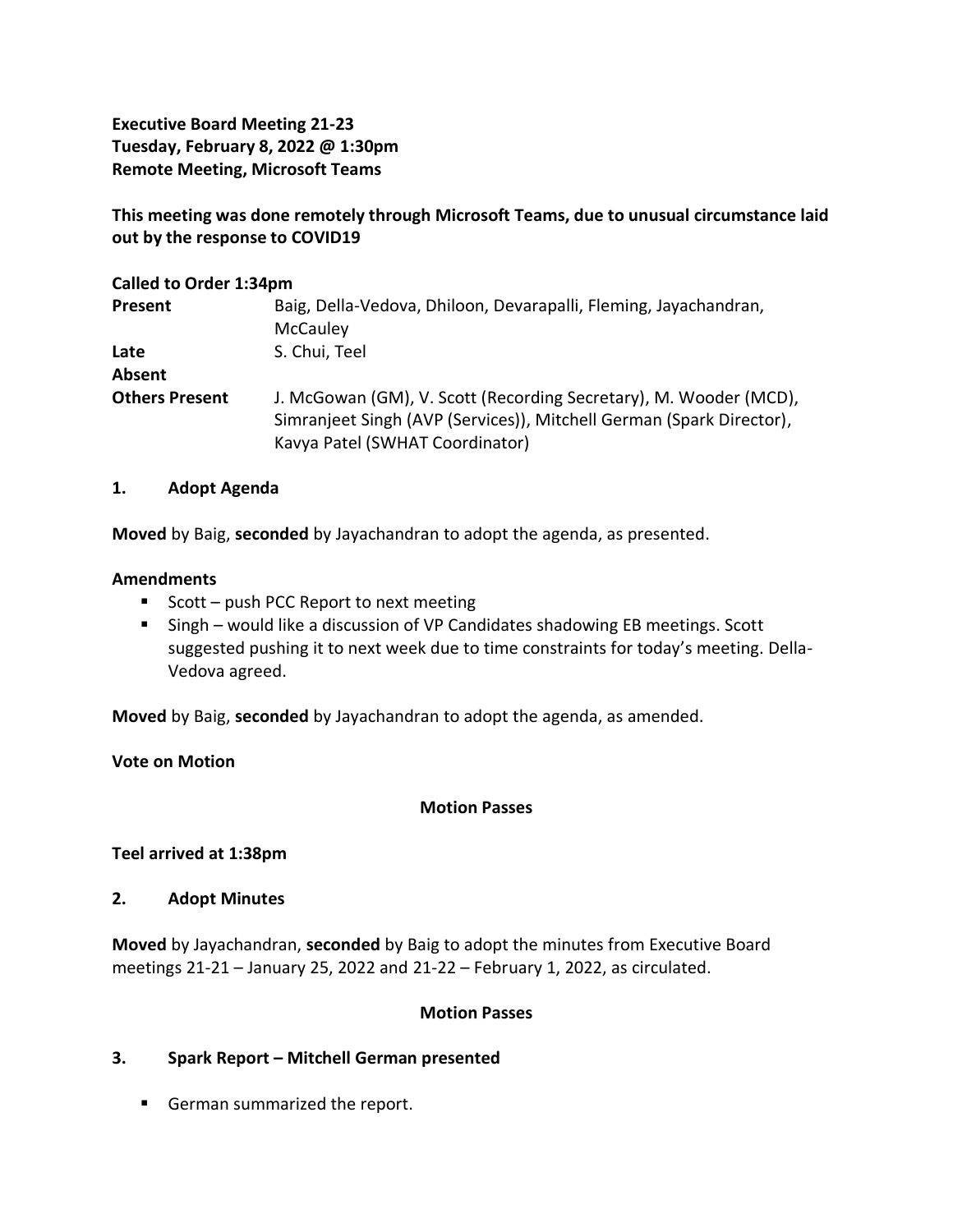**Executive Board Meeting 21-23 Tuesday, February 8, 2022 @ 1:30pm Remote Meeting, Microsoft Teams**

**This meeting was done remotely through Microsoft Teams, due to unusual circumstance laid out by the response to COVID19**

#### **Called to Order 1:34pm**

| Present               | Baig, Della-Vedova, Dhiloon, Devarapalli, Fleming, Jayachandran,<br>McCauley                                                                                                 |
|-----------------------|------------------------------------------------------------------------------------------------------------------------------------------------------------------------------|
| Late<br>Absent        | S. Chui, Teel                                                                                                                                                                |
| <b>Others Present</b> | J. McGowan (GM), V. Scott (Recording Secretary), M. Wooder (MCD),<br>Simranjeet Singh (AVP (Services)), Mitchell German (Spark Director),<br>Kavya Patel (SWHAT Coordinator) |

#### **1. Adopt Agenda**

**Moved** by Baig, **seconded** by Jayachandran to adopt the agenda, as presented.

#### **Amendments**

- Scott push PCC Report to next meeting
- Singh would like a discussion of VP Candidates shadowing EB meetings. Scott suggested pushing it to next week due to time constraints for today's meeting. Della-Vedova agreed.

**Moved** by Baig, **seconded** by Jayachandran to adopt the agenda, as amended.

### **Vote on Motion**

### **Motion Passes**

### **Teel arrived at 1:38pm**

### **2. Adopt Minutes**

**Moved** by Jayachandran, **seconded** by Baig to adopt the minutes from Executive Board meetings 21-21 – January 25, 2022 and 21-22 – February 1, 2022, as circulated.

### **Motion Passes**

## **3. Spark Report – Mitchell German presented**

■ German summarized the report.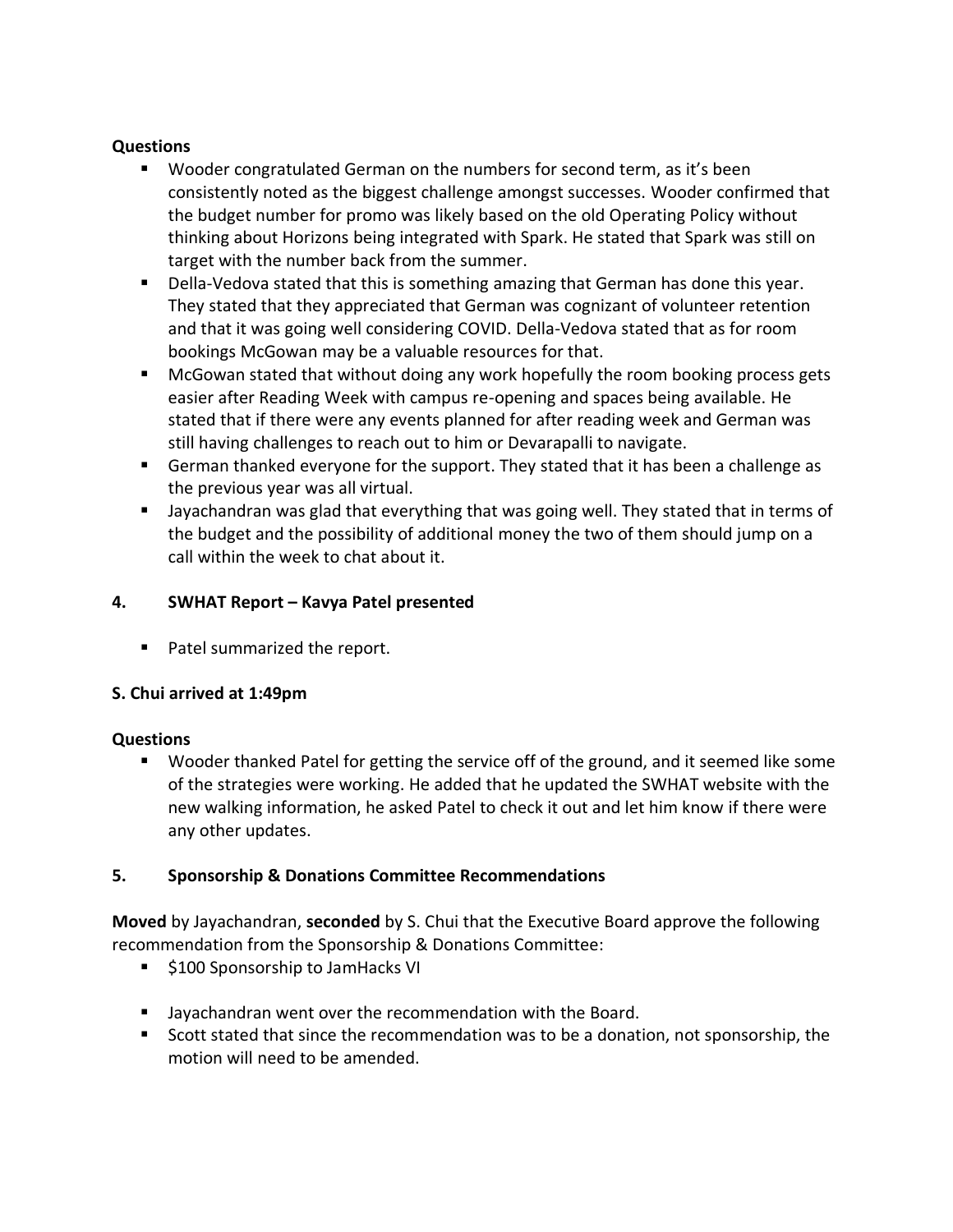### **Questions**

- Wooder congratulated German on the numbers for second term, as it's been consistently noted as the biggest challenge amongst successes. Wooder confirmed that the budget number for promo was likely based on the old Operating Policy without thinking about Horizons being integrated with Spark. He stated that Spark was still on target with the number back from the summer.
- **•** Della-Vedova stated that this is something amazing that German has done this year. They stated that they appreciated that German was cognizant of volunteer retention and that it was going well considering COVID. Della-Vedova stated that as for room bookings McGowan may be a valuable resources for that.
- McGowan stated that without doing any work hopefully the room booking process gets easier after Reading Week with campus re-opening and spaces being available. He stated that if there were any events planned for after reading week and German was still having challenges to reach out to him or Devarapalli to navigate.
- German thanked everyone for the support. They stated that it has been a challenge as the previous year was all virtual.
- Jayachandran was glad that everything that was going well. They stated that in terms of the budget and the possibility of additional money the two of them should jump on a call within the week to chat about it.

# **4. SWHAT Report – Kavya Patel presented**

■ Patel summarized the report.

## **S. Chui arrived at 1:49pm**

## **Questions**

■ Wooder thanked Patel for getting the service off of the ground, and it seemed like some of the strategies were working. He added that he updated the SWHAT website with the new walking information, he asked Patel to check it out and let him know if there were any other updates.

## **5. Sponsorship & Donations Committee Recommendations**

**Moved** by Jayachandran, **seconded** by S. Chui that the Executive Board approve the following recommendation from the Sponsorship & Donations Committee:

- \$100 Sponsorship to JamHacks VI
- Jayachandran went over the recommendation with the Board.
- Scott stated that since the recommendation was to be a donation, not sponsorship, the motion will need to be amended.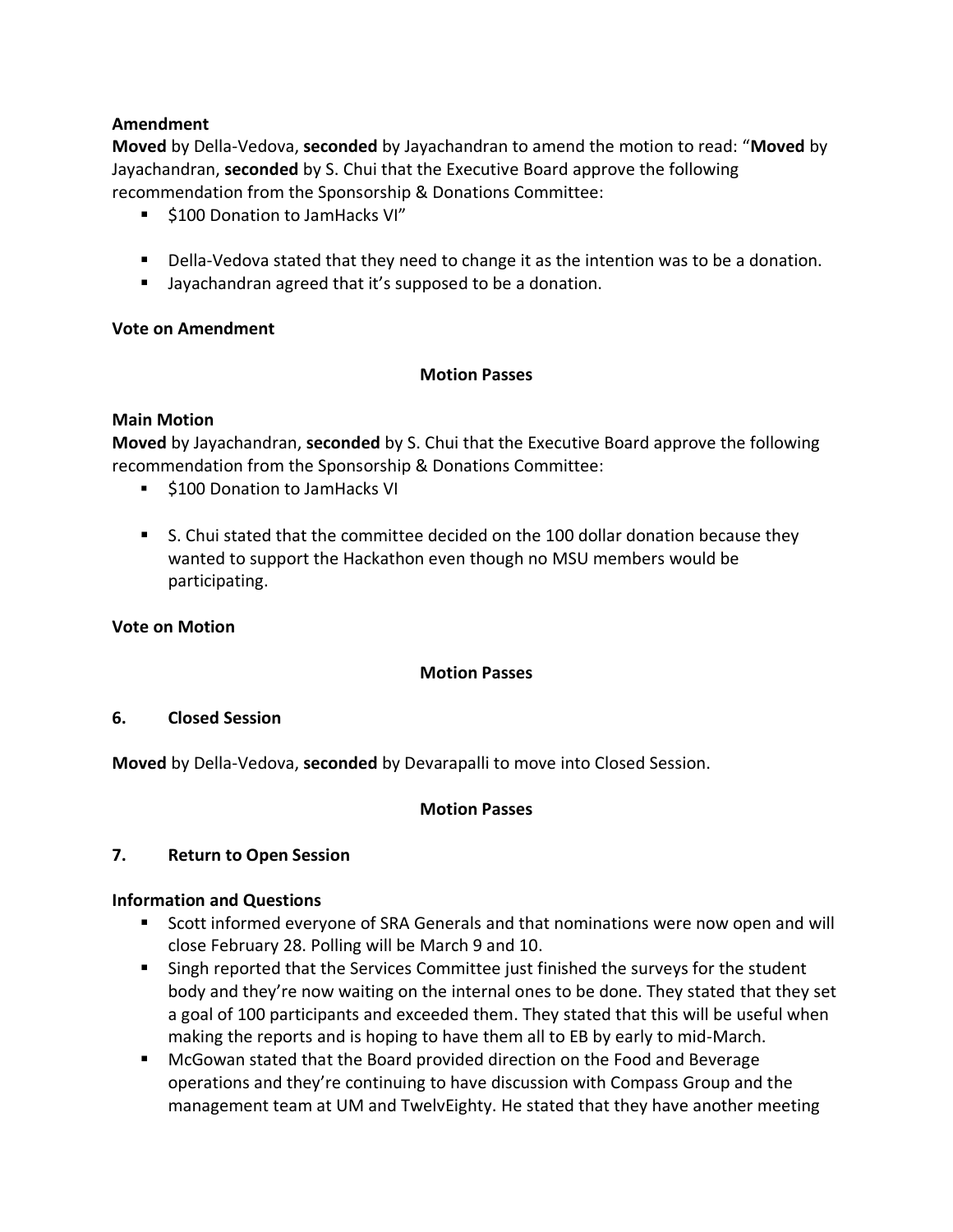### **Amendment**

**Moved** by Della-Vedova, **seconded** by Jayachandran to amend the motion to read: "**Moved** by Jayachandran, **seconded** by S. Chui that the Executive Board approve the following recommendation from the Sponsorship & Donations Committee:

- \$100 Donation to JamHacks VI"
- Della-Vedova stated that they need to change it as the intention was to be a donation.
- Jayachandran agreed that it's supposed to be a donation.

## **Vote on Amendment**

### **Motion Passes**

### **Main Motion**

**Moved** by Jayachandran, **seconded** by S. Chui that the Executive Board approve the following recommendation from the Sponsorship & Donations Committee:

- \$100 Donation to JamHacks VI
- S. Chui stated that the committee decided on the 100 dollar donation because they wanted to support the Hackathon even though no MSU members would be participating.

### **Vote on Motion**

### **Motion Passes**

### **6. Closed Session**

**Moved** by Della-Vedova, **seconded** by Devarapalli to move into Closed Session.

### **Motion Passes**

### **7. Return to Open Session**

### **Information and Questions**

- Scott informed everyone of SRA Generals and that nominations were now open and will close February 28. Polling will be March 9 and 10.
- Singh reported that the Services Committee just finished the surveys for the student body and they're now waiting on the internal ones to be done. They stated that they set a goal of 100 participants and exceeded them. They stated that this will be useful when making the reports and is hoping to have them all to EB by early to mid-March.
- McGowan stated that the Board provided direction on the Food and Beverage operations and they're continuing to have discussion with Compass Group and the management team at UM and TwelvEighty. He stated that they have another meeting